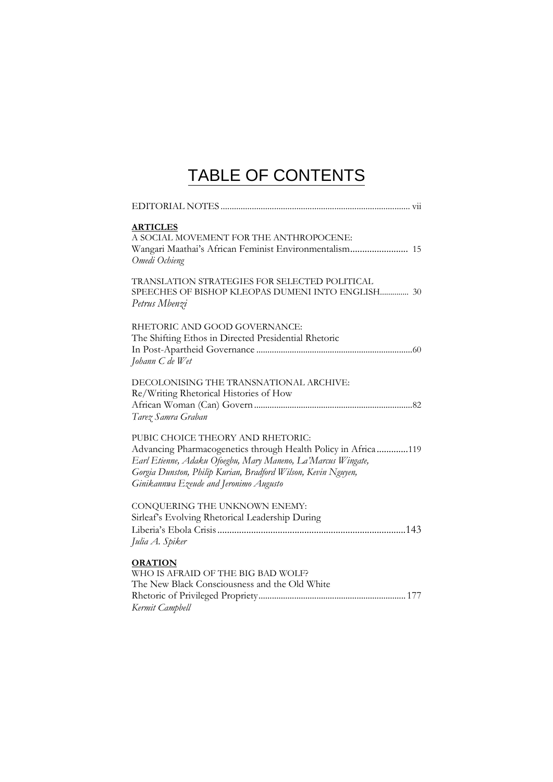## TABLE OF CONTENTS

| <b>ARTICLES</b><br>A SOCIAL MOVEMENT FOR THE ANTHROPOCENE:<br>Wangari Maathai's African Feminist Environmentalism 15<br>Omedi Ochieng                                                                                                                                         |
|-------------------------------------------------------------------------------------------------------------------------------------------------------------------------------------------------------------------------------------------------------------------------------|
| TRANSLATION STRATEGIES FOR SELECTED POLITICAL<br>SPEECHES OF BISHOP KLEOPAS DUMENI INTO ENGLISH 30<br>Petrus Mbenzi                                                                                                                                                           |
| RHETORIC AND GOOD GOVERNANCE:<br>The Shifting Ethos in Directed Presidential Rhetoric<br>Johann C de Wet                                                                                                                                                                      |
| DECOLONISING THE TRANSNATIONAL ARCHIVE:<br>Re/Writing Rhetorical Histories of How<br>Tarez Samra Graban                                                                                                                                                                       |
| PUBIC CHOICE THEORY AND RHETORIC:<br>Advancing Pharmacogenetics through Health Policy in Africa119<br>Earl Etienne, Adaku Ofoegbu, Mary Maneno, La'Marcus Wingate,<br>Gorgia Dunston, Philip Kurian, Bradford Wilson, Kevin Nguyen,<br>Ginikannwa Ezeude and Jeronimo Augusto |
| CONQUERING THE UNKNOWN ENEMY:<br>Sirleaf's Evolving Rhetorical Leadership During<br>Julia A. Spiker                                                                                                                                                                           |
| <b>ORATION</b><br>WHO IS AFRAID OF THE BIG BAD WOLF?<br>The New Black Consciousness and the Old White<br>Kermit Campbell                                                                                                                                                      |